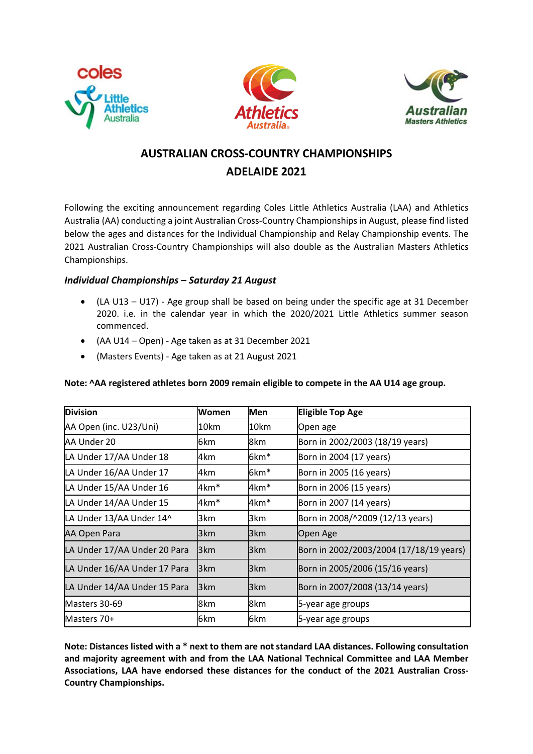





# **AUSTRALIAN CROSS-COUNTRY CHAMPIONSHIPS ADELAIDE 2021**

Following the exciting announcement regarding Coles Little Athletics Australia (LAA) and Athletics Australia (AA) conducting a joint Australian Cross-Country Championships in August, please find listed below the ages and distances for the Individual Championship and Relay Championship events. The 2021 Australian Cross-Country Championships will also double as the Australian Masters Athletics Championships.

# *Individual Championships – Saturday 21 August*

- (LA U13 U17) Age group shall be based on being under the specific age at 31 December 2020. i.e. in the calendar year in which the 2020/2021 Little Athletics summer season commenced.
- (AA U14 Open) Age taken as at 31 December 2021
- (Masters Events) Age taken as at 21 August 2021

| <b>Division</b>              | Women | <b>Men</b>      | <b>Eligible Top Age</b>                 |
|------------------------------|-------|-----------------|-----------------------------------------|
| AA Open (inc. U23/Uni)       | 10km  | 10km            | Open age                                |
| AA Under 20                  | 6km   | 8km             | Born in 2002/2003 (18/19 years)         |
| LA Under 17/AA Under 18      | 4km   | 6km*            | Born in 2004 (17 years)                 |
| LA Under 16/AA Under 17      | 4km   | 6km*            | Born in 2005 (16 years)                 |
| LA Under 15/AA Under 16      | 4km*  | 4km*            | Born in 2006 (15 years)                 |
| LA Under 14/AA Under 15      | 4km*  | 4km*            | Born in 2007 (14 years)                 |
| LA Under 13/AA Under 14^     | 3km   | 3km             | Born in 2008/^2009 (12/13 years)        |
| AA Open Para                 | 3km   | l3km            | Open Age                                |
| LA Under 17/AA Under 20 Para | 3km   | 3km             | Born in 2002/2003/2004 (17/18/19 years) |
| LA Under 16/AA Under 17 Para | 3km   | l3km            | Born in 2005/2006 (15/16 years)         |
| LA Under 14/AA Under 15 Para | 3km   | 3 <sub>km</sub> | Born in 2007/2008 (13/14 years)         |
| Masters 30-69                | 8km   | 8km             | 5-year age groups                       |
| Masters 70+                  | 6km   | 6km             | 5-year age groups                       |

### **Note: ^AA registered athletes born 2009 remain eligible to compete in the AA U14 age group.**

**Note: Distances listed with a \* next to them are not standard LAA distances. Following consultation and majority agreement with and from the LAA National Technical Committee and LAA Member Associations, LAA have endorsed these distances for the conduct of the 2021 Australian Cross-Country Championships.**